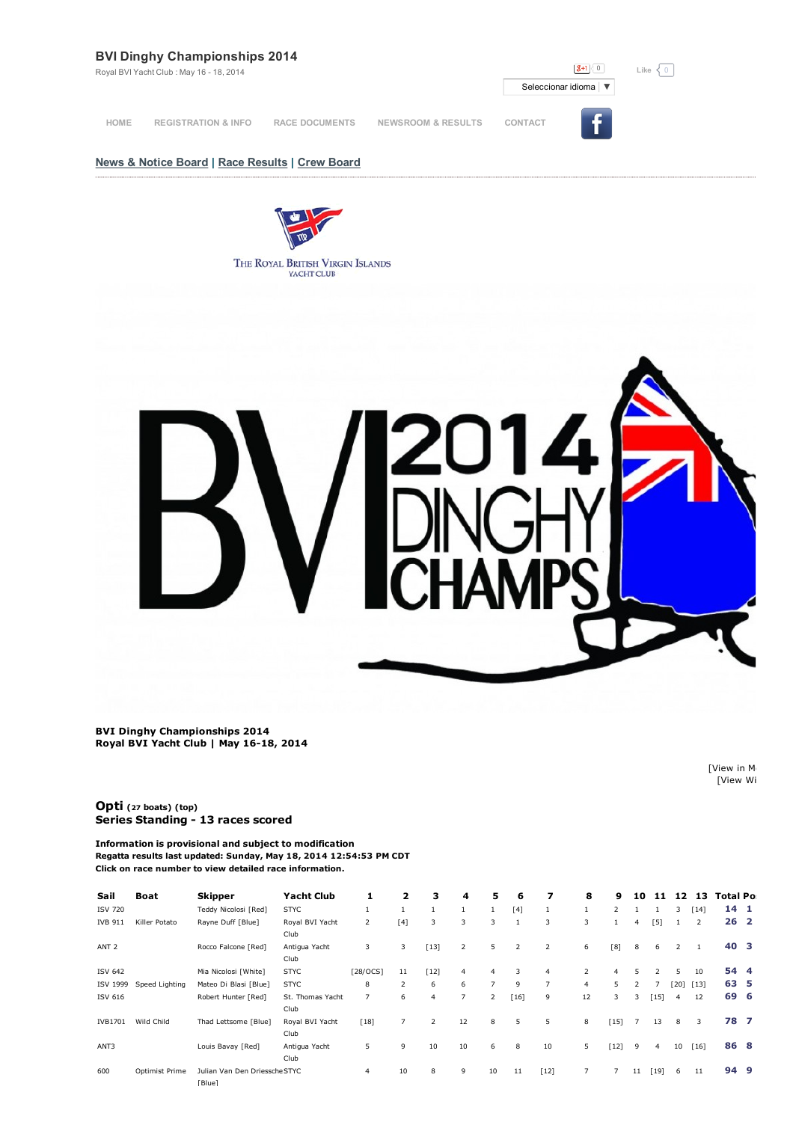# **BVI Dinghy Championships 2014**

Royal BVI Yacht Club : May 16 - 18, 2014

 $\boxed{8+1}$  0 Seleccionar idioma | ▼ **News & Notice Board | Race Results | Crew Board**  $Like  $\sqrt{0}$$ **HOME REGISTRATION & INFO RACE DOCUMENTS NEWSROOM & RESULTS CONTACT**

> THE ROYAL BRITISH VIRGIN ISLANDS YACHT CLUB

**BVI Dinghy Championships 2014 Royal BVI Yacht Club | May 1618, 2014**

> [View in Media [View Wi

**[Opti](http://www.regattanetwork.com/clubmgmt/applet_regatta_results.php?regatta_id=7610&limit_fleet=Opti) (<sup>27</sup> boats) (top) Series Standing 13 races scored**

**Information is provisional and subject to modification Regatta results last updated: Sunday, May 18, 2014 12:54:53 PM CDT Click on race number to view detailed race information.**

| Sail             | <b>Boat</b>    | Skipper                                 | <b>Yacht Club</b>        | 1              | 2              | з              | 4              | 5              | 6      | 7              | 8              | 9              | 10             | 11             | 12   | 13     | <b>Total Po</b> |  |
|------------------|----------------|-----------------------------------------|--------------------------|----------------|----------------|----------------|----------------|----------------|--------|----------------|----------------|----------------|----------------|----------------|------|--------|-----------------|--|
| <b>ISV 720</b>   |                | Teddy Nicolosi [Red]                    | <b>STYC</b>              | $\mathbf{1}$   | 1              | $\mathbf{1}$   |                | $\mathbf{1}$   | $[4]$  | 1              | 1              | 2              |                |                | 3    | $[14]$ | $14 \quad 1$    |  |
| <b>IVB 911</b>   | Killer Potato  | Rayne Duff [Blue]                       | Royal BVI Yacht<br>Club  | 2              | [4]            | 3              | 3              | 3              |        | 3              | 3              |                | $\overline{4}$ | [5]            |      | 2      | 26 <sub>2</sub> |  |
| ANT <sub>2</sub> |                | Rocco Falcone [Red]                     | Antigua Yacht<br>Club    | 3              | 3              | $[13]$         | 2              | 5              | 2      | 2              | 6              | [8]            | 8              | 6              | 2    |        | 40 3            |  |
| <b>ISV 642</b>   |                | Mia Nicolosi [White]                    | <b>STYC</b>              | [28/OCS]       | 11             | $[12]$         | 4              | $\overline{4}$ | 3      | $\overline{4}$ | $\overline{2}$ | 4              | 5.             |                | 5    | 10     | 54 4            |  |
| ISV 1999         | Speed Lighting | Mateo Di Blasi [Blue]                   | <b>STYC</b>              | 8              | 2              | 6              | 6              | $\overline{7}$ | 9      | $\overline{7}$ | $\overline{4}$ | 5              | 2              |                | [20] | $[13]$ | 63 5            |  |
| ISV 616          |                | Robert Hunter [Red]                     | St. Thomas Yacht<br>Club | $\overline{7}$ | 6              | $\overline{4}$ | $\overline{7}$ | 2              | $[16]$ | 9              | 12             | 3              | 3              | $[15]$         | 4    | 12     | 69 6            |  |
| IVB1701          | Wild Child     | Thad Lettsome [Blue]                    | Royal BVI Yacht<br>Club  | [18]           | $\overline{7}$ | 2              | 12             | 8              | 5      | 5              | 8              | [15]           |                | 13             | 8    | 3      | 78 7            |  |
| ANT3             |                | Louis Bavay [Red]                       | Antigua Yacht<br>Club    | 5              | 9              | 10             | 10             | 6              | 8      | 10             | 5              | $[12]$         | 9              | $\overline{4}$ | 10   | $[16]$ | 86 8            |  |
| 600              | Optimist Prime | Julian Van Den Driessche STYC<br>[Blue] |                          | $\overline{4}$ | 10             | 8              | 9              | 10             | 11     | $[12]$         | $\overline{7}$ | $\overline{7}$ | 11             | [19]           | 6    | 11     | 94 9            |  |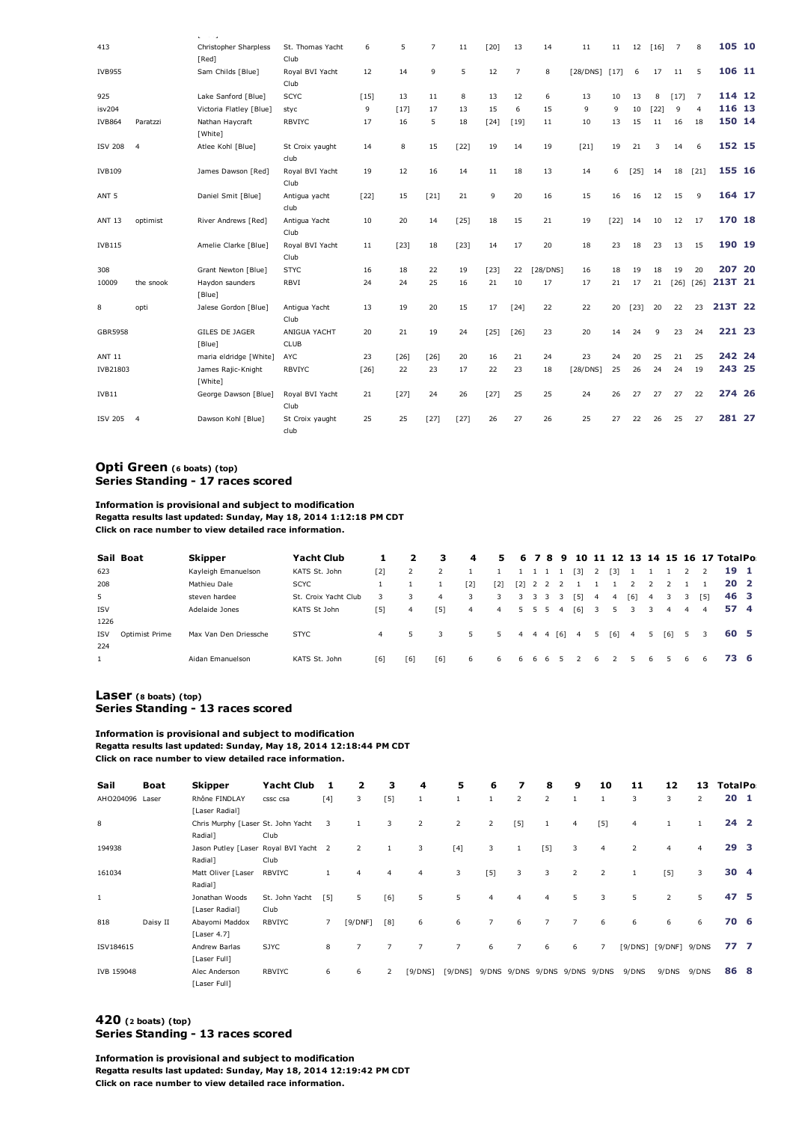|                  |                | $\mathbf{r} = \mathbf{r} + \mathbf{r}$ |                             |        |        |                |        |        |                |          |               |        |        |        |        |                |         |  |
|------------------|----------------|----------------------------------------|-----------------------------|--------|--------|----------------|--------|--------|----------------|----------|---------------|--------|--------|--------|--------|----------------|---------|--|
| 413              |                | Christopher Sharpless                  | St. Thomas Yacht            | 6      | 5      | $\overline{7}$ | 11     | $[20]$ | 13             | 14       | 11            | 11     | 12     | $[16]$ | 7      | 8              | 105 10  |  |
|                  |                | [Red]                                  | Club                        |        |        |                |        |        |                |          |               |        |        |        |        |                |         |  |
| <b>IVB955</b>    |                | Sam Childs [Blue]                      | Royal BVI Yacht<br>Club     | 12     | 14     | 9              | 5      | 12     | $\overline{7}$ | 8        | [28/DNS] [17] |        | 6      | 17     | 11     | 5              | 106 11  |  |
| 925              |                | Lake Sanford [Blue]                    | <b>SCYC</b>                 | $[15]$ | 13     | 11             | 8      | 13     | 12             | 6        | 13            | 10     | 13     | 8      | $[17]$ | 7              | 114 12  |  |
| isv204           |                | Victoria Flatley [Blue]                | styc                        | 9      | $[17]$ | 17             | 13     | 15     | 6              | 15       | 9             | 9      | 10     | $[22]$ | 9      | $\overline{4}$ | 116 13  |  |
| <b>IVB864</b>    | Paratzzi       | Nathan Haycraft<br>[White]             | <b>RBVIYC</b>               | 17     | 16     | 5              | 18     | $[24]$ | [19]           | 11       | 10            | 13     | 15     | 11     | 16     | 18             | 150 14  |  |
| <b>ISV 208</b>   | $\overline{4}$ | Atlee Kohl [Blue]                      | St Croix yaught<br>club     | 14     | 8      | 15             | $[22]$ | 19     | 14             | 19       | [21]          | 19     | 21     | 3      | 14     | 6              | 152 15  |  |
| <b>IVB109</b>    |                | James Dawson [Red]                     | Royal BVI Yacht<br>Club     | 19     | 12     | 16             | 14     | 11     | 18             | 13       | 14            | 6      | [25]   | 14     | 18     | $[21]$         | 155 16  |  |
| ANT <sub>5</sub> |                | Daniel Smit [Blue]                     | Antiqua yacht<br>club       | $[22]$ | 15     | $[21]$         | 21     | 9      | 20             | 16       | 15            | 16     | 16     | 12     | 15     | 9              | 164 17  |  |
| <b>ANT 13</b>    | optimist       | River Andrews [Red]                    | Antigua Yacht<br>Club       | 10     | 20     | 14             | [25]   | 18     | 15             | 21       | 19            | $[22]$ | 14     | 10     | 12     | 17             | 170 18  |  |
| <b>IVB115</b>    |                | Amelie Clarke [Blue]                   | Royal BVI Yacht<br>Club     | 11     | [23]   | 18             | $[23]$ | 14     | 17             | 20       | 18            | 23     | 18     | 23     | 13     | 15             | 190 19  |  |
| 308              |                | Grant Newton [Blue]                    | <b>STYC</b>                 | 16     | 18     | 22             | 19     | [23]   | 22             | [28/DNS] | 16            | 18     | 19     | 18     | 19     | 20             | 207 20  |  |
| 10009            | the snook      | Haydon saunders<br>[Blue]              | RBVI                        | 24     | 24     | 25             | 16     | 21     | 10             | 17       | 17            | 21     | 17     | 21     | $[26]$ | $[26]$         | 213T 21 |  |
| 8                | opti           | Jalese Gordon [Blue]                   | Antiqua Yacht<br>Club       | 13     | 19     | 20             | 15     | 17     | [24]           | 22       | 22            | 20     | $[23]$ | 20     | 22     | 23             | 213T 22 |  |
| GBR5958          |                | <b>GILES DE JAGER</b><br>[Blue]        | ANIGUA YACHT<br><b>CLUB</b> | 20     | 21     | 19             | 24     | $[25]$ | $[26]$         | 23       | 20            | 14     | 24     | 9      | 23     | 24             | 221 23  |  |
| <b>ANT 11</b>    |                | maria eldridge [White]                 | AYC                         | 23     | [26]   | [26]           | 20     | 16     | 21             | 24       | 23            | 24     | 20     | 25     | 21     | 25             | 242 24  |  |
| IVB21803         |                | James Rajic-Knight<br>[White]          | <b>RBVIYC</b>               | $[26]$ | 22     | 23             | 17     | 22     | 23             | 18       | [28/DNS]      | 25     | 26     | 24     | 24     | 19             | 243 25  |  |
| IVB11            |                | George Dawson [Blue]                   | Royal BVI Yacht<br>Club     | 21     | $[27]$ | 24             | 26     | $[27]$ | 25             | 25       | 24            | 26     | 27     | 27     | 27     | 22             | 274 26  |  |
| <b>ISV 205</b>   | $\overline{4}$ | Dawson Kohl [Blue]                     | St Croix yaught<br>club     | 25     | 25     | $[27]$         | $[27]$ | 26     | 27             | 26       | 25            | 27     | 22     | 26     | 25     | 27             | 281 27  |  |

#### **Opti [Green](http://www.regattanetwork.com/clubmgmt/applet_regatta_results.php?regatta_id=7610&limit_fleet=Opti+Green) (<sup>6</sup> boats) (top) Series Standing 17 races scored**

# **Information is provisional and subject to modification**

**Regatta results last updated: Sunday, May 18, 2014 1:12:18 PM CDT Click on race number to view detailed race information.**

|                | Sail Boat      | <b>Skipper</b>        | <b>Yacht Club</b>    |                |     | з              | 4              | 5.             |         |   |       |                     |                |                |               |                |                |     |                | 6 7 8 9 10 11 12 13 14 15 16 17 TotalPo |  |
|----------------|----------------|-----------------------|----------------------|----------------|-----|----------------|----------------|----------------|---------|---|-------|---------------------|----------------|----------------|---------------|----------------|----------------|-----|----------------|-----------------------------------------|--|
| 623            |                | Kayleigh Emanuelson   | KATS St. John        | [2]            |     | 2              |                |                |         |   | 1 1 1 | $\lceil 3 \rceil$   | 2              | [3]            |               |                |                |     |                | 19 1                                    |  |
| 208            |                | Mathieu Dale          | <b>SCYC</b>          |                |     |                | [2]            | [2]            |         |   |       | [2] 2 2 2 1 1 1 2   |                |                |               | $\overline{2}$ |                |     |                | 20 <sub>2</sub>                         |  |
| 5 <sup>1</sup> |                | steven hardee         | St. Croix Yacht Club |                |     | $\overline{4}$ | 3              | 3              | 3       |   | 3 3 3 | [5]                 | $\overline{4}$ | $\overline{4}$ | [6]           | 4              | 3              | 3   | [5]            | 46 3                                    |  |
| <b>ISV</b>     |                | Adelaide Jones        | KATS St John         | [5]            | 4   | [5]            | $\overline{4}$ | $\overline{4}$ | 5 5 5 4 |   |       |                     |                |                | $[6]$ 3 5 3 3 |                | $\overline{4}$ | 4   | $\overline{4}$ | 57 4                                    |  |
| 1226           |                |                       |                      |                |     |                |                |                |         |   |       |                     |                |                |               |                |                |     |                |                                         |  |
| <b>ISV</b>     | Optimist Prime | Max Van Den Driessche | <b>STYC</b>          | $\overline{4}$ |     | 3              | 5              | 5              |         |   |       | 4 4 4 [6] 4 5 [6] 4 |                |                |               | 5.             | [6]            | 5 3 |                | 60 5                                    |  |
| 224            |                |                       |                      |                |     |                |                |                |         |   |       |                     |                |                |               |                |                |     |                |                                         |  |
| $\mathbf{1}$   |                | Aidan Emanuelson      | KATS St. John        | [6]            | [6] | [6]            | 6              | 6.             | 6       | 6 | 6     |                     | 6.             |                |               | 6.             |                | 6.  | 6              | 73 6                                    |  |

#### **[Laser](http://www.regattanetwork.com/clubmgmt/applet_regatta_results.php?regatta_id=7610&limit_fleet=Laser) (<sup>8</sup> boats) (top) Series Standing 13 races scored**

#### **Information is provisional and subject to modification**

**Regatta results last updated: Sunday, May 18, 2014 12:18:44 PM CDT**

**Click on race number to view detailed race information.**

| Sail         | Boat     | <b>Skipper</b>                                   | <b>Yacht Club</b>      | 1              | 2              | з              | 4              | 5              | 6              | 7              | 8              | 9              | 10             | 11             | 12            | 13             | <b>TotalPo</b>  |     |
|--------------|----------|--------------------------------------------------|------------------------|----------------|----------------|----------------|----------------|----------------|----------------|----------------|----------------|----------------|----------------|----------------|---------------|----------------|-----------------|-----|
| AHO204096    | Laser    | Rhône FINDLAY<br>[Laser Radial]                  | cssc csa               | $[4]$          | 3              | [5]            | $\mathbf{1}$   | $\mathbf{1}$   |                | 2              | $\overline{2}$ |                |                | 3              | 3             | $\overline{2}$ | 20 <sub>1</sub> |     |
| 8            |          | Chris Murphy [Laser St. John Yacht<br>Radial]    | Club                   | 3              |                | 3              | $\overline{2}$ | $\overline{2}$ | 2              | $[5]$          |                | $\overline{4}$ | $[5]$          | $\overline{4}$ |               | 1              | 24 <sub>2</sub> |     |
| 194938       |          | Jason Putley [Laser Royal BVI Yacht 2<br>Radial] | Club                   |                | $\overline{2}$ |                | 3              | $[4]$          | 3              |                | $[5]$          | 3              | $\overline{4}$ | 2              | 4             | 4              | 29 <sub>3</sub> |     |
| 161034       |          | Matt Oliver [Laser<br>Radial]                    | <b>RBVIYC</b>          |                | 4              | $\overline{4}$ | $\overline{4}$ | 3              | $[5]$          | 3              | 3              | $\overline{2}$ | $\overline{2}$ | 1              | $[5]$         | 3              | 30 4            |     |
| $\mathbf{1}$ |          | Jonathan Woods<br>[Laser Radial]                 | St. John Yacht<br>Club | $[5]$          | 5              | [6]            | 5              | 5              | 4              | $\overline{4}$ | $\overline{4}$ | 5              | 3              | 5              | 2             | 5              | 47              | - 5 |
| 818          | Daisy II | Abayomi Maddox<br>[Laser 4.7]                    | <b>RBVIYC</b>          | $\overline{7}$ | [9/DNF]        | $[8]$          | 6              | 6              | $\overline{7}$ | 6              | 7              | $\overline{7}$ | 6              | 6              | 6             | 6              | 70 6            |     |
| ISV184615    |          | Andrew Barlas<br>[Laser Full]                    | <b>SJYC</b>            | 8              | $\overline{7}$ | $\overline{7}$ | $\overline{7}$ | $\overline{7}$ | 6              | $\overline{7}$ | 6              | 6              | $\overline{7}$ | [9/DNS]        | [9/DNF] 9/DNS |                | 77. 7           |     |
| IVB 159048   |          | Alec Anderson<br>[Laser Full]                    | <b>RBVIYC</b>          | 6              | 6              | $\overline{z}$ | [9/DNS]        | [9/DNS]        | 9/DNS          | 9/DNS 9/DNS    |                | 9/DNS          | 9/DNS          | 9/DNS          | 9/DNS         | 9/DNS          | 86 8            |     |

## **[420](http://www.regattanetwork.com/clubmgmt/applet_regatta_results.php?regatta_id=7610&limit_fleet=420) (<sup>2</sup> boats) (top) Series Standing 13 races scored**

**Information is provisional and subject to modification Regatta results last updated: Sunday, May 18, 2014 12:19:42 PM CDT Click on race number to view detailed race information.**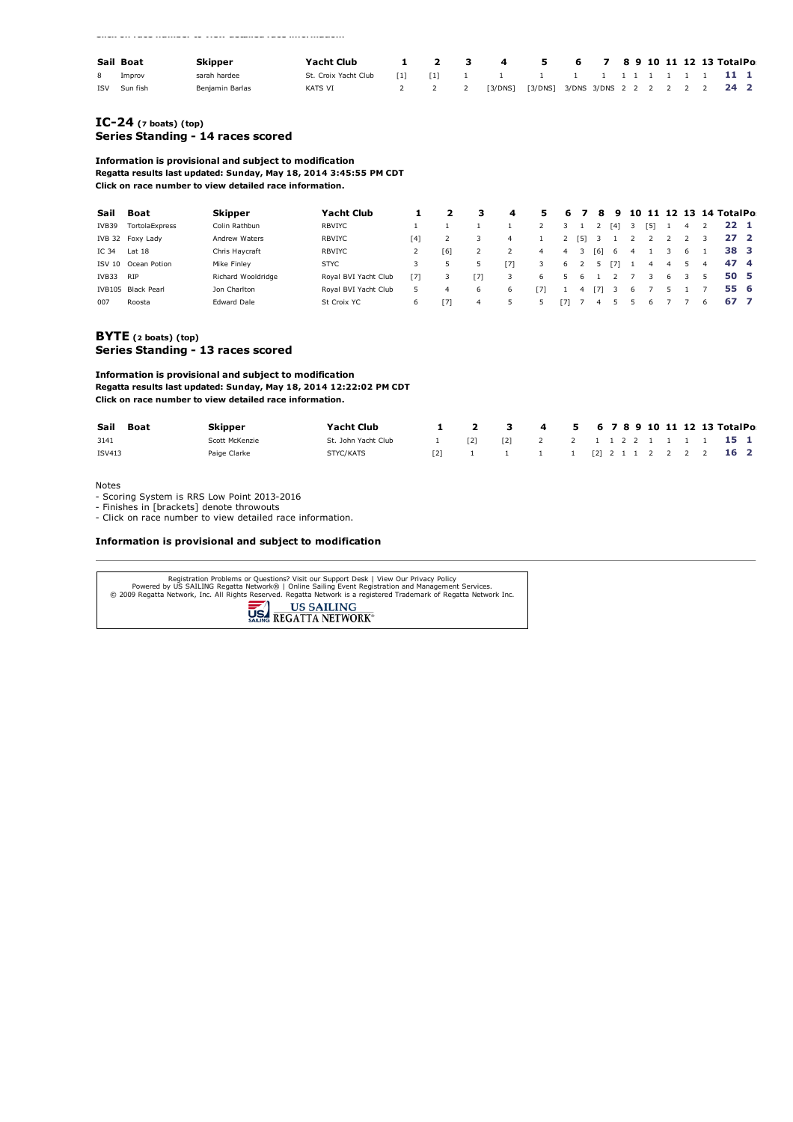**Click on race number to view detailed race information.**

|            | Sail Boat | Skipper         | Yacht Club           |  | 1 2 3 4 5 6 7 8 9 10 11 12 13 TotalPo                  |  |  |  |  |  |  |
|------------|-----------|-----------------|----------------------|--|--------------------------------------------------------|--|--|--|--|--|--|
| 8          | Improv    | sarah hardee    | St. Croix Yacht Club |  |                                                        |  |  |  |  |  |  |
| <b>ISV</b> | Sun fish  | Benjamin Barlas | KATS VI              |  | 2 2 2 2 3/DNS] [3/DNS] 3/DNS 3/DNS 2 2 2 2 2 2 2 2 2 2 |  |  |  |  |  |  |

#### **[IC24](http://www.regattanetwork.com/clubmgmt/applet_regatta_results.php?regatta_id=7610&limit_fleet=IC-24) (<sup>7</sup> boats) (top) Series Standing 14 races scored**

**Information is provisional and subject to modification Regatta results last updated: Sunday, May 18, 2014 3:45:55 PM CDT Click on race number to view detailed race information.**

| Sail          | Boat               | <b>Skipper</b>     | <b>Yacht Club</b>    |     |     | з   | 4              | 5.             | 6    |     | 8   | 9              | 10 |     |   |    |   | 11 12 13 14 TotalPo |  |
|---------------|--------------------|--------------------|----------------------|-----|-----|-----|----------------|----------------|------|-----|-----|----------------|----|-----|---|----|---|---------------------|--|
| IVB39         | TortolaExpress     | Colin Rathbun      | <b>RBVIYC</b>        |     |     |     |                |                |      |     |     | [4]            |    | '51 |   | 4  |   | $22^{1}$            |  |
|               | IVB 32 Foxy Lady   | Andrew Waters      | <b>RBVIYC</b>        | [4] |     |     | $\overline{4}$ |                |      | [5] | 3   |                |    |     |   |    |   | 27 2                |  |
| IC 34         | Lat $18$           | Chris Haycraft     | <b>RBVIYC</b>        |     | [6] |     |                | $\overline{4}$ | 4    | 3   | [6] | 6 <sup>6</sup> | 4  |     |   | 6  |   | 38 3                |  |
| <b>ISV 10</b> | Ocean Potion       | Mike Finley        | <b>STYC</b>          | 3   |     |     | [7]            | 3              | 6    |     |     | '71            |    | 4   | 4 | 5. | 4 | 47 4                |  |
| IVB33         | <b>RIP</b>         | Richard Wooldridge | Royal BVI Yacht Club | [7] |     | [7] | 3              | 6.             |      | ь.  |     |                |    |     | 6 |    |   | 50 5                |  |
|               | IVB105 Black Pearl | Jon Charlton       | Roval BVI Yacht Club | 5   | 4   | 6   | 6              | [7]            |      |     | 71  |                | 6. |     |   |    |   | 55 6                |  |
| 007           | Roosta             | <b>Edward Dale</b> | St Croix YC          | 6   | [7] | 4   |                |                | - 71 |     |     |                |    | ь   |   |    | 6 | 67 7                |  |

### **[BYTE](http://www.regattanetwork.com/clubmgmt/applet_regatta_results.php?regatta_id=7610&limit_fleet=BYTE) (<sup>2</sup> boats) (top) Series Standing 13 races scored**

**Information is provisional and subject to modification Regatta results last updated: Sunday, May 18, 2014 12:22:02 PM CDT Click on race number to view detailed race information.**

| Sail Boat     | Skipper        | Yacht Club          | $\overline{\mathbf{2}}$ | 3 4 5 6 7 8 9 10 11 12 13 TotalPo             |  |  |  |  |  |  |
|---------------|----------------|---------------------|-------------------------|-----------------------------------------------|--|--|--|--|--|--|
| 3141          | Scott McKenzie | St. John Yacht Club | $\sqrt{21}$             | [2] 2 2 1 1 2 2 1 1 1 1 1 1 5 1               |  |  |  |  |  |  |
| <b>ISV413</b> | Paige Clarke   | STYC/KATS           |                         | $[2]$ 1 1 1 1 $[2]$ 2 1 1 2 2 2 2 <b>16 2</b> |  |  |  |  |  |  |

Notes

- Scoring System is RRS Low Point 2013-2016

- Finishes in [brackets] denote throwouts

Click on race number to view detailed race information.

#### **Information is provisional and subject to modification**

| Registration Problems or Ouestions? Visit our Support Desk   View Our Privacy Policy<br>Powered by US SAILING Regatta Network®   Online Sailing Event Registration and Management Services.<br>© 2009 Regatta Network, Inc. All Rights Reserved. Regatta Network is a registered Trademark of Regatta Network Inc.<br><b>US SAILING</b><br>REGATTA NETWORK <sup>®</sup> |
|-------------------------------------------------------------------------------------------------------------------------------------------------------------------------------------------------------------------------------------------------------------------------------------------------------------------------------------------------------------------------|
|                                                                                                                                                                                                                                                                                                                                                                         |
|                                                                                                                                                                                                                                                                                                                                                                         |